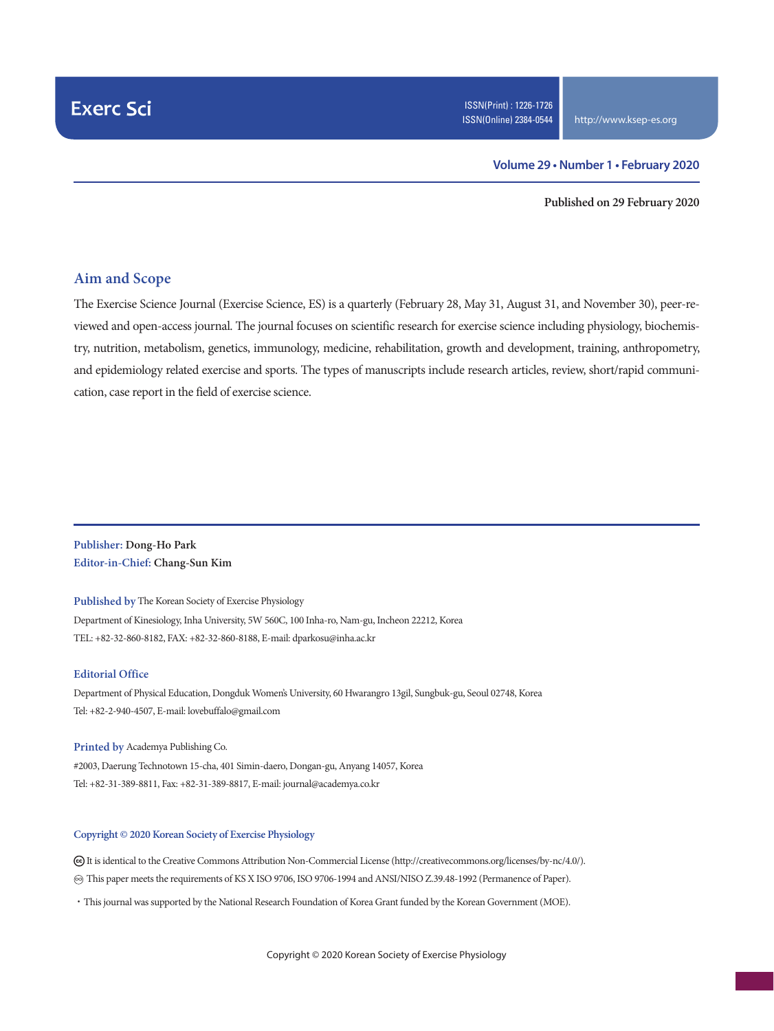#### **Volume 29 • Number 1 • February 2020**

**Published on 29 February 2020**

#### **Aim and Scope**

The Exercise Science Journal (Exercise Science, ES) is a quarterly (February 28, May 31, August 31, and November 30), peer-reviewed and open-access journal. The journal focuses on scientific research for exercise science including physiology, biochemistry, nutrition, metabolism, genetics, immunology, medicine, rehabilitation, growth and development, training, anthropometry, and epidemiology related exercise and sports. The types of manuscripts include research articles, review, short/rapid communication, case report in the field of exercise science.

**Publisher: Dong-Ho Park Editor-in-Chief: Chang-Sun Kim**

**Published by** The Korean Society of Exercise Physiology Department of Kinesiology, Inha University, 5W 560C, 100 Inha-ro, Nam-gu, Incheon 22212, Korea TEL: +82-32-860-8182, FAX: +82-32-860-8188, E-mail: dparkosu@inha.ac.kr

#### **Editorial Office**

Department of Physical Education, Dongduk Women's University, 60 Hwarangro 13gil, Sungbuk-gu, Seoul 02748, Korea Tel: +82-2-940-4507, E-mail: lovebuffalo@gmail.com

**Printed by** Academya Publishing Co. #2003, Daerung Technotown 15-cha, 401 Simin-daero, Dongan-gu, Anyang 14057, Korea Tel: +82-31-389-8811, Fax: +82-31-389-8817, E-mail: journal@academya.co.kr

#### **Copyright © 2020 Korean Society of Exercise Physiology**

 It is identical to the Creative Commons Attribution Non-Commercial License (http://creativecommons.org/licenses/by-nc/4.0/). ∞ This paper meets the requirements of KS X ISO 9706, ISO 9706-1994 and ANSI/NISO Z.39.48-1992 (Permanence of Paper).

·This journal was supported by the National Research Foundation of Korea Grant funded by the Korean Government (MOE).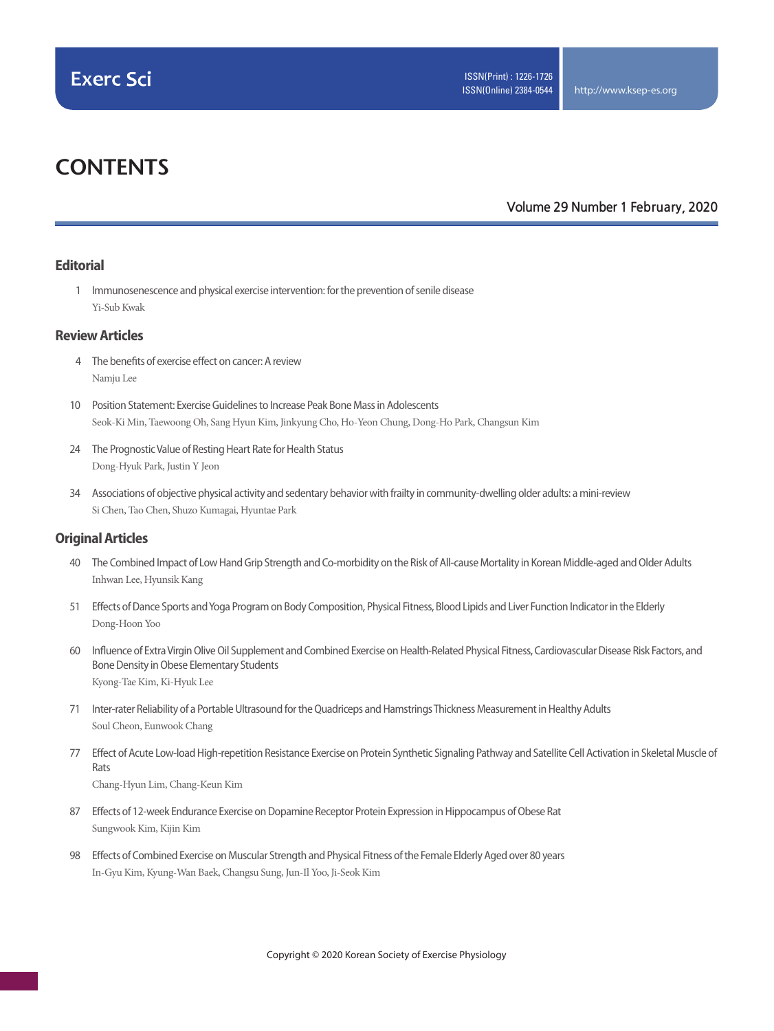## **CONTENTS**

#### **Volume 29 Number 1 February, 2020**

#### **Editorial**

 1 Immunosenescence and physical exercise intervention: for the prevention of senile disease Yi-Sub Kwak

#### **Review Articles**

- 4 The benefits of exercise effect on cancer: A review Namju Lee
- 10 Position Statement: Exercise Guidelines to Increase Peak Bone Mass in Adolescents Seok-Ki Min, Taewoong Oh, Sang Hyun Kim, Jinkyung Cho, Ho-Yeon Chung, Dong-Ho Park, Changsun Kim
- 24 The Prognostic Value of Resting Heart Rate for Health Status Dong-Hyuk Park, Justin Y Jeon
- 34 Associations of objective physical activity and sedentary behavior with frailty in community-dwelling older adults: a mini-review Si Chen, Tao Chen, Shuzo Kumagai, Hyuntae Park

#### **Original Articles**

- 40 The Combined Impact of Low Hand Grip Strength and Co-morbidity on the Risk of All-cause Mortality in Korean Middle-aged and Older Adults Inhwan Lee, Hyunsik Kang
- 51 Effects of Dance Sports and Yoga Program on Body Composition, Physical Fitness, Blood Lipids and Liver Function Indicator in the Elderly Dong-Hoon Yoo
- 60 Influence of Extra Virgin Olive Oil Supplement and Combined Exercise on Health-Related Physical Fitness, Cardiovascular Disease Risk Factors, and Bone Density in Obese Elementary Students Kyong-Tae Kim, Ki-Hyuk Lee
- 71 Inter-rater Reliability of a Portable Ultrasound for the Quadriceps and Hamstrings Thickness Measurement in Healthy Adults Soul Cheon, Eunwook Chang
- 77 Effect of Acute Low-load High-repetition Resistance Exercise on Protein Synthetic Signaling Pathway and Satellite Cell Activation in Skeletal Muscle of Rats

Chang-Hyun Lim, Chang-Keun Kim

- 87 Effects of 12-week Endurance Exercise on Dopamine Receptor Protein Expression in Hippocampus of Obese Rat Sungwook Kim, Kijin Kim
- 98 Effects of Combined Exercise on Muscular Strength and Physical Fitness of the Female Elderly Aged over 80 years In-Gyu Kim, Kyung-Wan Baek, Changsu Sung, Jun-Il Yoo, Ji-Seok Kim